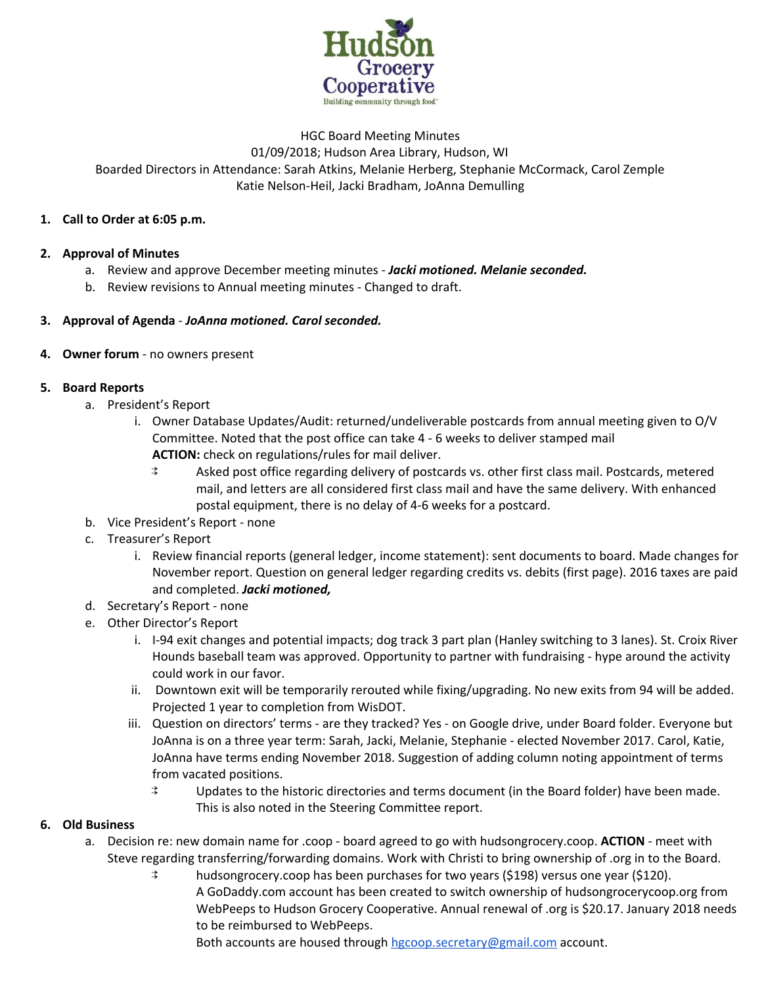

## HGC Board Meeting Minutes 01/09/2018; Hudson Area Library, Hudson, WI Boarded Directors in Attendance: Sarah Atkins, Melanie Herberg, Stephanie McCormack, Carol Zemple Katie Nelson-Heil, Jacki Bradham, JoAnna Demulling

### **1. Call to Order at 6:05 p.m.**

### **2. Approval of Minutes**

- a. Review and approve December meeting minutes *Jacki motioned. Melanie seconded.*
- b. Review revisions to Annual meeting minutes Changed to draft.

### **3. Approval of Agenda** - *JoAnna motioned. Carol seconded.*

### **4. Owner forum** - no owners present

### **5. Board Reports**

- a. President's Report
	- i. Owner Database Updates/Audit: returned/undeliverable postcards from annual meeting given to O/V Committee. Noted that the post office can take 4 - 6 weeks to deliver stamped mail **ACTION:** check on regulations/rules for mail deliver.<br> **Asked post office regarding delivery of postc** 
		- Asked post office regarding delivery of postcards vs. other first class mail. Postcards, metered mail, and letters are all considered first class mail and have the same delivery. With enhanced postal equipment, there is no delay of 4-6 weeks for a postcard.
- b. Vice President's Report none
- c. Treasurer's Report
	- i. Review financial reports (general ledger, income statement): sent documents to board. Made changes for November report. Question on general ledger regarding credits vs. debits (first page). 2016 taxes are paid and completed. *Jacki motioned,*
- d. Secretary's Report none
- e. Other Director's Report
	- i. I-94 exit changes and potential impacts; dog track 3 part plan (Hanley switching to 3 lanes). St. Croix River Hounds baseball team was approved. Opportunity to partner with fundraising - hype around the activity could work in our favor.
	- ii. Downtown exit will be temporarily rerouted while fixing/upgrading. No new exits from 94 will be added. Projected 1 year to completion from WisDOT.
	- iii. Question on directors' terms are they tracked? Yes on Google drive, under Board folder. Everyone but JoAnna is on a three year term: Sarah, Jacki, Melanie, Stephanie - elected November 2017. Carol, Katie, JoAnna have terms ending November 2018. Suggestion of adding column noting appointment of terms from vacated positions.
		- ⇉ Updates to the historic directories and terms document (in the Board folder) have been made. This is also noted in the Steering Committee report.

## **6. Old Business**

- a. Decision re: new domain name for .coop board agreed to go with hudsongrocery.coop. **ACTION** meet with Steve regarding transferring/forwarding domains. Work with Christi to bring ownership of .org in to the Board.
	- ⇉ hudsongrocery.coop has been purchases for two years (\$198) versus one year (\$120). A GoDaddy.com account has been created to switch ownership of hudsongrocerycoop.org from WebPeeps to Hudson Grocery Cooperative. Annual renewal of .org is \$20.17. January 2018 needs to be reimbursed to WebPeeps.

Both accounts are housed through [hgcoop.secretary@gmail.com](mailto:hgcoop.secretary@gmail.com) account.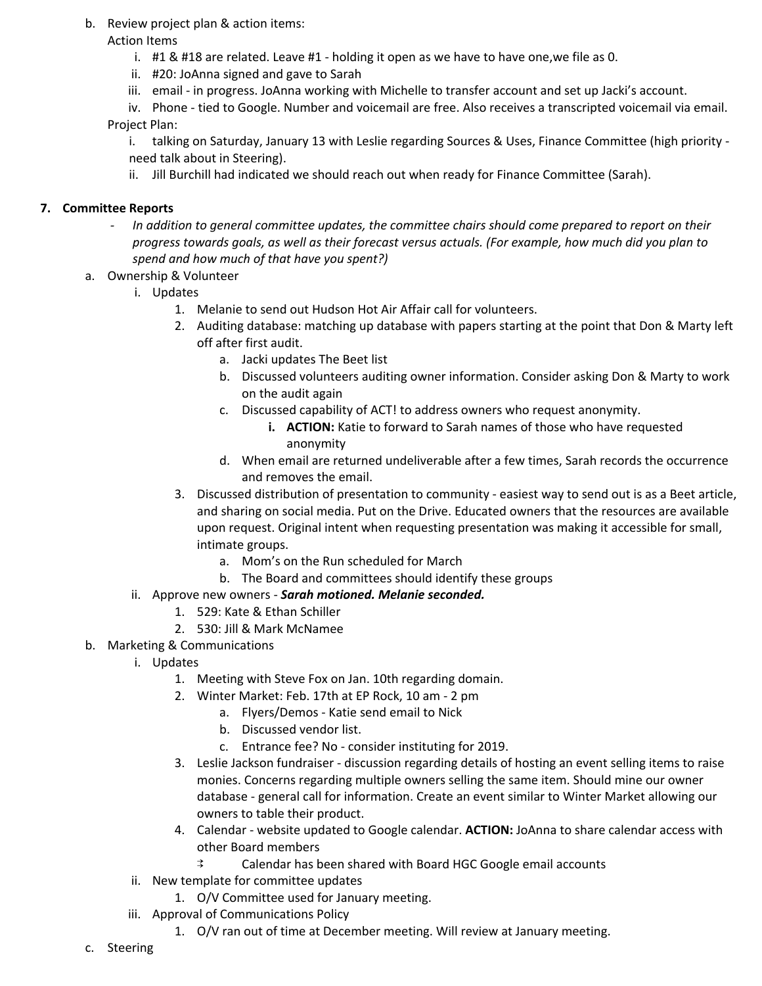- b. Review project plan & action items:
	- Action Items
		- i.  $\#1$  &  $\#18$  are related. Leave  $\#1$  holding it open as we have to have one, we file as 0.
		- ii. #20: JoAnna signed and gave to Sarah
		- iii. email in progress. JoAnna working with Michelle to transfer account and set up Jacki's account.
	- iv. Phone tied to Google. Number and voicemail are free. Also receives a transcripted voicemail via email. Project Plan:
		- i. talking on Saturday, January 13 with Leslie regarding Sources & Uses, Finance Committee (high priority need talk about in Steering).
		- ii. Jill Burchill had indicated we should reach out when ready for Finance Committee (Sarah).

# **7. Committee Reports**

- *- In addition to general committee updates, the committee chairs should come prepared to report on their* progress towards goals, as well as their forecast versus actuals. (For example, how much did you plan to *spend and how much of that have you spent?)*
- a. Ownership & Volunteer
	- i. Updates
		- 1. Melanie to send out Hudson Hot Air Affair call for volunteers.
		- 2. Auditing database: matching up database with papers starting at the point that Don & Marty left off after first audit.
			- a. Jacki updates The Beet list
			- b. Discussed volunteers auditing owner information. Consider asking Don & Marty to work on the audit again
			- c. Discussed capability of ACT! to address owners who request anonymity.
				- **i. ACTION:** Katie to forward to Sarah names of those who have requested anonymity
			- d. When email are returned undeliverable after a few times, Sarah records the occurrence and removes the email.
		- 3. Discussed distribution of presentation to community easiest way to send out is as a Beet article, and sharing on social media. Put on the Drive. Educated owners that the resources are available upon request. Original intent when requesting presentation was making it accessible for small, intimate groups.
			- a. Mom's on the Run scheduled for March
			- b. The Board and committees should identify these groups

## ii. Approve new owners - *Sarah motioned. Melanie seconded.*

- 1. 529: Kate & Ethan Schiller
- 2. 530: Jill & Mark McNamee
- b. Marketing & Communications
	- i. Updates
		- 1. Meeting with Steve Fox on Jan. 10th regarding domain.
		- 2. Winter Market: Feb. 17th at EP Rock, 10 am 2 pm
			- a. Flyers/Demos Katie send email to Nick
			- b. Discussed vendor list.
			- c. Entrance fee? No consider instituting for 2019.
		- 3. Leslie Jackson fundraiser discussion regarding details of hosting an event selling items to raise monies. Concerns regarding multiple owners selling the same item. Should mine our owner database - general call for information. Create an event similar to Winter Market allowing our owners to table their product.
		- 4. Calendar website updated to Google calendar. **ACTION:** JoAnna to share calendar access with other Board members
			- ⇉ Calendar has been shared with Board HGC Google email accounts
	- ii. New template for committee updates
		- 1. O/V Committee used for January meeting.
	- iii. Approval of Communications Policy
		- 1. O/V ran out of time at December meeting. Will review at January meeting.
- c. Steering